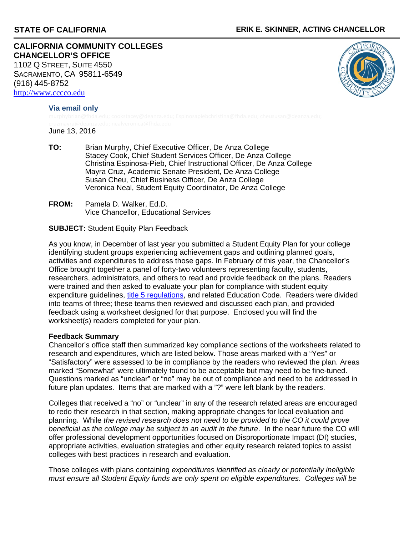**CALIFORNIA COMMUNITY COLLEGES CHANCELLOR'S OFFICE** 1102 Q STREET, SUITE 4550 SACRAMENTO, CA 95811-6549 (916) 445-8752 [http://www.cccco.edu](http://www.cccco.edu/)



**Via email only** 

June 13, 2016

- **TO:** Brian Murphy, Chief Executive Officer, De Anza College Stacey Cook, Chief Student Services Officer, De Anza College Christina Espinosa-Pieb, Chief Instructional Officer, De Anza College Mayra Cruz, Academic Senate President, De Anza College Susan Cheu, Chief Business Officer, De Anza College Veronica Neal, Student Equity Coordinator, De Anza College
- **FROM:** Pamela D. Walker, Ed.D. Vice Chancellor, Educational Services

# **SUBJECT:** Student Equity Plan Feedback

As you know, in December of last year you submitted a Student Equity Plan for your college identifying student groups experiencing achievement gaps and outlining planned goals, activities and expenditures to address those gaps. In February of this year, the Chancellor's Office brought together a panel of forty-two volunteers representing faculty, students, researchers, administrators, and others to read and provide feedback on the plans. Readers were trained and then asked to evaluate your plan for compliance with student equity expenditure guidelines, [title 5 regulations](http://ca.eregulations.us/code/t.5_d.6_ch.5_subch.4_sec.54220), and related Education Code. Readers were divided into teams of three; these teams then reviewed and discussed each plan, and provided feedback using a worksheet designed for that purpose. Enclosed you will find the worksheet(s) readers completed for your plan.

### **Feedback Summary**

Chancellor's office staff then summarized key compliance sections of the worksheets related to research and expenditures, which are listed below. Those areas marked with a "Yes" or "Satisfactory" were assessed to be in compliance by the readers who reviewed the plan. Areas marked "Somewhat" were ultimately found to be acceptable but may need to be fine-tuned. Questions marked as "unclear" or "no" may be out of compliance and need to be addressed in future plan updates. Items that are marked with a "?" were left blank by the readers.

Colleges that received a "no" or "unclear" in any of the research related areas are encouraged to redo their research in that section, making appropriate changes for local evaluation and planning. While *the revised research does not need to be provided to the CO it could prove beneficial as the college may be subject to an audit in the future*. In the near future the CO will offer professional development opportunities focused on Disproportionate Impact (DI) studies, appropriate activities, evaluation strategies and other equity research related topics to assist colleges with best practices in research and evaluation.

Those colleges with plans containing *expenditures identified as clearly or potentially ineligible must ensure all Student Equity funds are only spent on eligible expenditures*. *Colleges will be*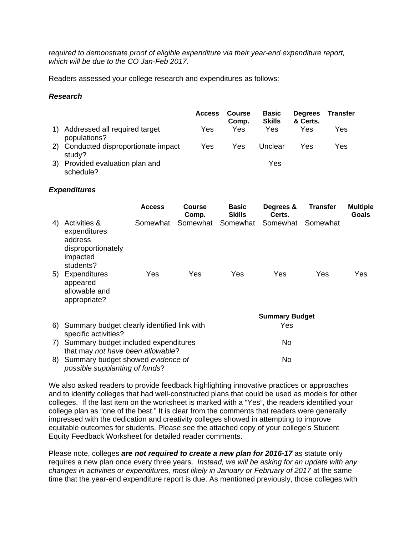*required to demonstrate proof of eligible expenditure via their year-end expenditure report, which will be due to the CO Jan-Feb 2017.*

Readers assessed your college research and expenditures as follows:

## *Research*

|    |                                                | <b>Access</b> | Course<br>Comp. | <b>Basic</b><br><b>Skills</b> | <b>Degrees</b><br>& Certs. | <b>Transfer</b> |
|----|------------------------------------------------|---------------|-----------------|-------------------------------|----------------------------|-----------------|
|    | Addressed all required target<br>populations?  | Yes           | Yes             | Yes                           | Yes                        | Yes             |
|    | 2) Conducted disproportionate impact<br>study? | Yes           | Yes             | Unclear                       | Yes                        | Yes             |
| 3) | Provided evaluation plan and<br>schedule?      |               |                 | Yes                           |                            |                 |

### *Expenditures*

|    |                                                                                        | <b>Access</b> | <b>Course</b><br>Comp. | <b>Basic</b><br><b>Skills</b> | Degrees &<br>Certs.   | <b>Transfer</b> | <b>Multiple</b><br><b>Goals</b> |  |
|----|----------------------------------------------------------------------------------------|---------------|------------------------|-------------------------------|-----------------------|-----------------|---------------------------------|--|
| 4) | Activities &<br>expenditures<br>address<br>disproportionately<br>impacted<br>students? | Somewhat      | Somewhat               | Somewhat                      | Somewhat              | Somewhat        |                                 |  |
| 5) | Expenditures<br>appeared<br>allowable and<br>appropriate?                              | Yes           | Yes                    | Yes                           | Yes                   | Yes             | Yes                             |  |
|    |                                                                                        |               |                        |                               | <b>Summary Budget</b> |                 |                                 |  |
| 6) | Summary budget clearly identified link with<br>specific activities?                    |               |                        | Yes                           |                       |                 |                                 |  |
| 7) | Summary budget included expenditures<br>that may not have been allowable?              |               |                        | No                            |                       |                 |                                 |  |
| 8) | Summary budget showed evidence of<br>possible supplanting of funds?                    |               |                        |                               | No                    |                 |                                 |  |

We also asked readers to provide feedback highlighting innovative practices or approaches and to identify colleges that had well-constructed plans that could be used as models for other colleges. If the last item on the worksheet is marked with a "Yes", the readers identified your college plan as "one of the best." It is clear from the comments that readers were generally impressed with the dedication and creativity colleges showed in attempting to improve equitable outcomes for students. Please see the attached copy of your college's Student Equity Feedback Worksheet for detailed reader comments.

Please note, colleges *are not required to create a new plan for 2016-17* as statute only requires a new plan once every three years. *Instead, we will be asking for an update with any changes in activities or expenditures, most likely in January or February of 2017* at the same time that the year-end expenditure report is due. As mentioned previously, those colleges with